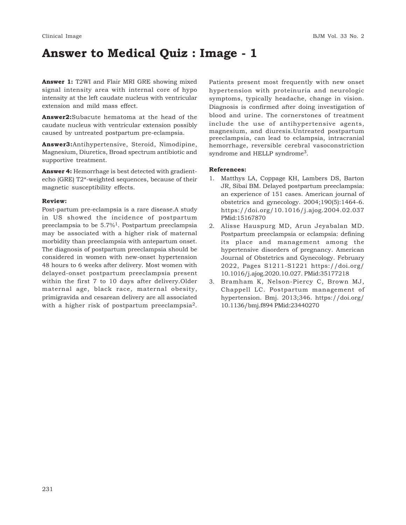# **Answer to Medical Quiz : Image - 1**

**Answer 1:** T2WI and Flair MRI GRE showing mixed signal intensity area with internal core of hypo intensity at the left caudate nucleus with ventricular extension and mild mass effect.

**Answer2:**Subacute hematoma at the head of the caudate nucleus with ventricular extension possibly caused by untreated postpartum pre-eclampsia.

**Answer3:**Antihypertensive, Steroid, Nimodipine, Magnesium, Diuretics, Broad spectrum antibiotic and supportive treatment.

**Answer 4:** Hemorrhage is best detected with gradientecho (GRE) T2\*-weighted sequences, because of their magnetic susceptibility effects.

## **Review:**

Post-partum pre-eclampsia is a rare disease.A study in US showed the incidence of postpartum preeclampsia to be  $5.7\%$ <sup>1</sup>. Postpartum preeclampsia may be associated with a higher risk of maternal morbidity than preeclampsia with antepartum onset. The diagnosis of postpartum preeclampsia should be considered in women with new-onset hypertension 48 hours to 6 weeks after delivery. Most women with delayed-onset postpartum preeclampsia present within the first 7 to 10 days after delivery.Older maternal age, black race, maternal obesity, primigravida and cesarean delivery are all associated with a higher risk of postpartum preeclampsia<sup>2</sup>.

Patients present most frequently with new onset hypertension with proteinuria and neurologic symptoms, typically headache, change in vision. Diagnosis is confirmed after doing investigation of blood and urine. The cornerstones of treatment include the use of antihypertensive agents, magnesium, and diuresis.Untreated postpartum preeclampsia, can lead to eclampsia, intracranial hemorrhage, reversible cerebral vasoconstriction syndrome and HELLP syndrome<sup>3</sup>.

### **References:**

- 1. Matthys LA, Coppage KH, Lambers DS, Barton JR, Sibai BM. Delayed postpartum preeclampsia: an experience of 151 cases. American journal of obstetrics and gynecology. 2004;190(5):1464-6. https://doi.org/10.1016/j.ajog.2004.02.037 PMid:15167870
- 2. Alisse Hauspurg MD, Arun Jeyabalan MD. Postpartum preeclampsia or eclampsia: defining its place and management among the hypertensive disorders of pregnancy. American Journal of Obstetrics and Gynecology. February 2022, Pages S1211-S1221 https://doi.org/ 10.1016/j.ajog.2020.10.027. PMid:35177218
- 3. Bramham K, Nelson-Piercy C, Brown MJ, Chappell LC. Postpartum management of hypertension. Bmj. 2013;346. https://doi.org/ 10.1136/bmj.f894 PMid:23440270